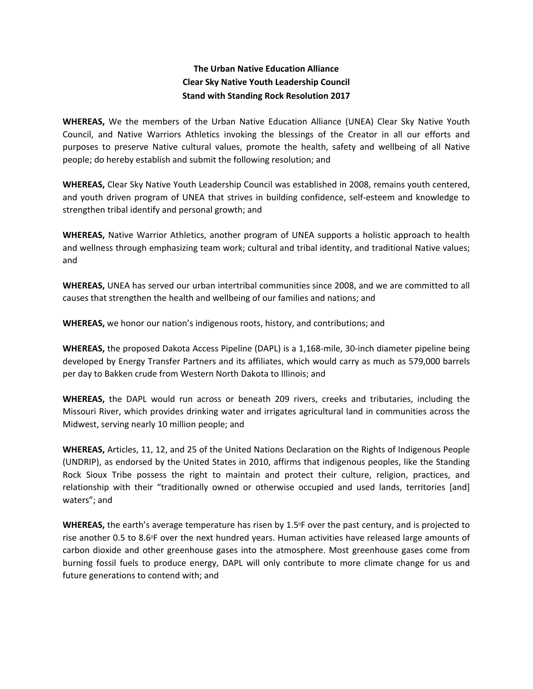## **The Urban Native Education Alliance Clear Sky Native Youth Leadership Council Stand with Standing Rock Resolution 2017**

**WHEREAS,** We the members of the Urban Native Education Alliance (UNEA) Clear Sky Native Youth Council, and Native Warriors Athletics invoking the blessings of the Creator in all our efforts and purposes to preserve Native cultural values, promote the health, safety and wellbeing of all Native people; do hereby establish and submit the following resolution; and

**WHEREAS,** Clear Sky Native Youth Leadership Council was established in 2008, remains youth centered, and youth driven program of UNEA that strives in building confidence, self-esteem and knowledge to strengthen tribal identify and personal growth; and

**WHEREAS,** Native Warrior Athletics, another program of UNEA supports a holistic approach to health and wellness through emphasizing team work; cultural and tribal identity, and traditional Native values; and

**WHEREAS,** UNEA has served our urban intertribal communities since 2008, and we are committed to all causes that strengthen the health and wellbeing of our families and nations; and

**WHEREAS,** we honor our nation's indigenous roots, history, and contributions; and

**WHEREAS,** the proposed Dakota Access Pipeline (DAPL) is a 1,168-mile, 30-inch diameter pipeline being developed by Energy Transfer Partners and its affiliates, which would carry as much as 579,000 barrels per day to Bakken crude from Western North Dakota to Illinois; and

**WHEREAS,** the DAPL would run across or beneath 209 rivers, creeks and tributaries, including the Missouri River, which provides drinking water and irrigates agricultural land in communities across the Midwest, serving nearly 10 million people; and

**WHEREAS,** Articles, 11, 12, and 25 of the United Nations Declaration on the Rights of Indigenous People (UNDRIP), as endorsed by the United States in 2010, affirms that indigenous peoples, like the Standing Rock Sioux Tribe possess the right to maintain and protect their culture, religion, practices, and relationship with their "traditionally owned or otherwise occupied and used lands, territories [and] waters"; and

WHEREAS, the earth's average temperature has risen by 1.5<sup>o</sup>F over the past century, and is projected to rise another 0.5 to 8.6°F over the next hundred years. Human activities have released large amounts of carbon dioxide and other greenhouse gases into the atmosphere. Most greenhouse gases come from burning fossil fuels to produce energy, DAPL will only contribute to more climate change for us and future generations to contend with; and